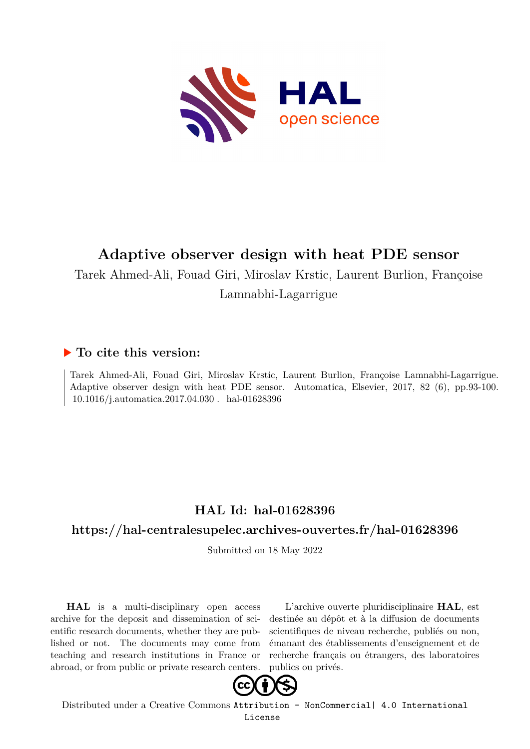

# **Adaptive observer design with heat PDE sensor**

Tarek Ahmed-Ali, Fouad Giri, Miroslav Krstic, Laurent Burlion, Françoise Lamnabhi-Lagarrigue

### **To cite this version:**

Tarek Ahmed-Ali, Fouad Giri, Miroslav Krstic, Laurent Burlion, Françoise Lamnabhi-Lagarrigue. Adaptive observer design with heat PDE sensor. Automatica, Elsevier, 2017, 82 (6), pp.93-100. 10.1016/j.automatica.2017.04.030. hal-01628396

## **HAL Id: hal-01628396**

### **<https://hal-centralesupelec.archives-ouvertes.fr/hal-01628396>**

Submitted on 18 May 2022

**HAL** is a multi-disciplinary open access archive for the deposit and dissemination of scientific research documents, whether they are published or not. The documents may come from teaching and research institutions in France or abroad, or from public or private research centers.

L'archive ouverte pluridisciplinaire **HAL**, est destinée au dépôt et à la diffusion de documents scientifiques de niveau recherche, publiés ou non, émanant des établissements d'enseignement et de recherche français ou étrangers, des laboratoires publics ou privés.



Distributed under a Creative Commons [Attribution - NonCommercial| 4.0 International](http://creativecommons.org/licenses/by-nc/4.0/) [License](http://creativecommons.org/licenses/by-nc/4.0/)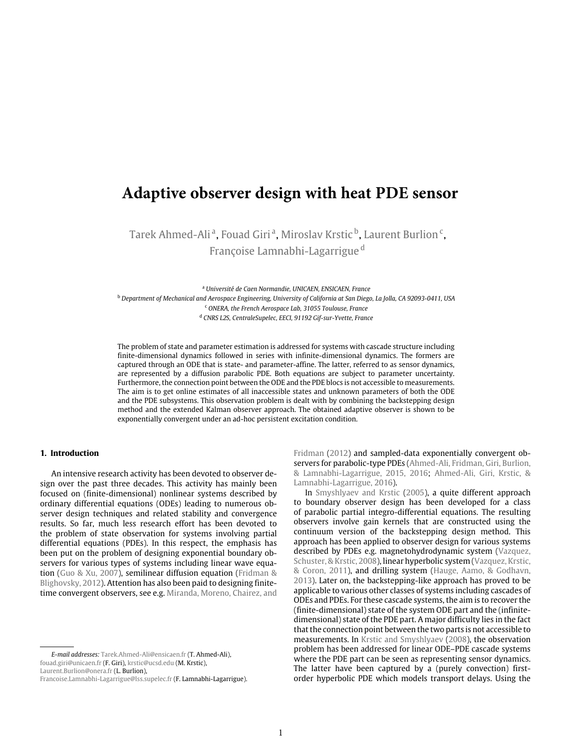## **Adaptive observer design with heat PDE sensor**

Tarek Ahmed-Aliª, Fouad Giriª, Miroslav Krstic <sup>b</sup>, Laurent Burlion <sup>c</sup>, Françoise Lamnabhi-Lagarrigue <sup>d</sup>

<sup>a</sup> *Université de Caen Normandie, UNICAEN, ENSICAEN, France*

<sup>b</sup> Department of Mechanical and Aerospace Engineering, University of California at San Diego, La Jolla, CA 92093-0411, USA <sup>c</sup> *ONERA, the French Aerospace Lab, 31055 Toulouse, France* <sup>d</sup> *CNRS L2S, CentraleSupelec, EECI, 91192 Gif-sur-Yvette, France*

The problem of state and parameter estimation is addressed for systems with cascade structure including finite-dimensional dynamics followed in series with infinite-dimensional dynamics. The formers are captured through an ODE that is state- and parameter-affine. The latter, referred to as sensor dynamics, are represented by a diffusion parabolic PDE. Both equations are subject to parameter uncertainty. Furthermore, the connection point between the ODE and the PDE blocs is not accessible to measurements. The aim is to get online estimates of all inaccessible states and unknown parameters of both the ODE and the PDE subsystems. This observation problem is dealt with by combining the backstepping design method and the extended Kalman observer approach. The obtained adaptive observer is shown to be exponentially convergent under an ad-hoc persistent excitation condition.

#### **1. Introduction**

An intensive research activity has been devoted to observer design over the past three decades. This activity has mainly been focused on (finite-dimensional) nonlinear systems described by ordinary differential equations (ODEs) leading to numerous observer design techniques and related stability and convergence results. So far, much less research effort has been devoted to the problem of state observation for systems involving partial differential equations (PDEs). In this respect, the emphasis has been put on the problem of designing exponential boundary observers for various types of systems including linear wave equation (Guo & Xu, 2007), semilinear diffusion equation (Fridman & Blighovsky, 2012). Attention has also been paid to designing finitetime convergent observers, see e.g. Miranda, Moreno, Chairez, and Fridman (2012) and sampled-data exponentially convergent observers for parabolic-type PDEs (Ahmed-Ali, Fridman, Giri, Burlion, & Lamnabhi-Lagarrigue, 2015, 2016; Ahmed-Ali, Giri, Krstic, & Lamnabhi-Lagarrigue, 2016).

In Smyshlyaev and Krstic (2005), a quite different approach to boundary observer design has been developed for a class of parabolic partial integro-differential equations. The resulting observers involve gain kernels that are constructed using the continuum version of the backstepping design method. This approach has been applied to observer design for various systems described by PDEs e.g. magnetohydrodynamic system (Vazquez, Schuster, & Krstic, 2008), linear hyperbolic system (Vazquez, Krstic, & Coron, 2011), and drilling system (Hauge, Aamo, & Godhavn, 2013). Later on, the backstepping-like approach has proved to be applicable to various other classes of systems including cascades of ODEs and PDEs. For these cascade systems, the aim is to recover the (finite-dimensional) state of the system ODE part and the (infinitedimensional) state of the PDE part. A major difficulty lies in the fact that the connection point between the two parts is not accessible to measurements. In Krstic and Smyshlyaev (2008), the observation problem has been addressed for linear ODE–PDE cascade systems where the PDE part can be seen as representing sensor dynamics. The latter have been captured by a (purely convection) firstorder hyperbolic PDE which models transport delays. Using the

*E-mail addresses:* Tarek.Ahmed-Ali@ensicaen.fr (T. Ahmed-Ali), fouad.giri@unicaen.fr (F. Giri), krstic@ucsd.edu (M. Krstic), Laurent.Burlion@onera.fr (L. Burlion),

Francoise.Lamnabhi-Lagarrigue@lss.supelec.fr (F. Lamnabhi-Lagarrigue).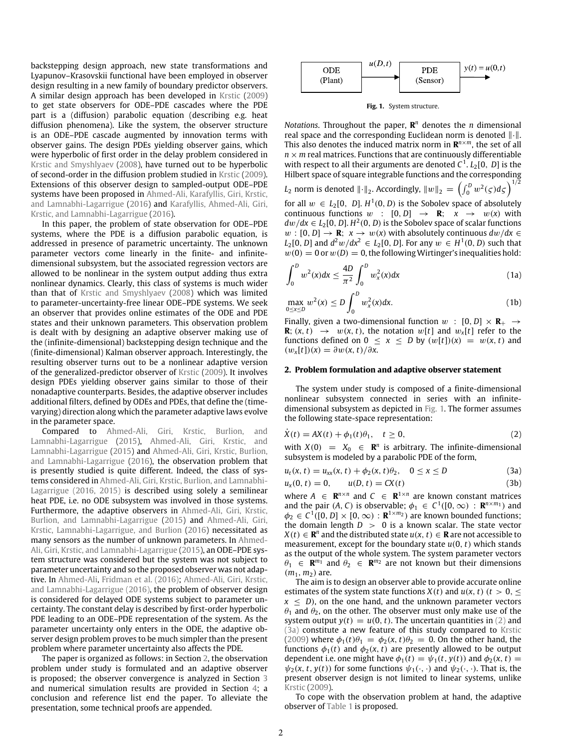backstepping design approach, new state transformations and Lyapunov–Krasovskii functional have been employed in observer design resulting in a new family of boundary predictor observers. A similar design approach has been developed in Krstic (2009) to get state observers for ODE–PDE cascades where the PDE part is a (diffusion) parabolic equation (describing e.g. heat diffusion phenomena). Like the system, the observer structure is an ODE–PDE cascade augmented by innovation terms with observer gains. The design PDEs yielding observer gains, which were hyperbolic of first order in the delay problem considered in Krstic and Smyshlyaev (2008), have turned out to be hyperbolic of second-order in the diffusion problem studied in Krstic (2009). Extensions of this observer design to sampled-output ODE–PDE systems have been proposed in Ahmed-Ali, Karafyllis, Giri, Krstic, and Lamnabhi-Lagarrigue (2016) and Karafyllis, Ahmed-Ali, Giri, Krstic, and Lamnabhi-Lagarrigue (2016).

In this paper, the problem of state observation for ODE–PDE systems, where the PDE is a diffusion parabolic equation, is addressed in presence of parametric uncertainty. The unknown parameter vectors come linearly in the finite- and infinitedimensional subsystem, but the associated regression vectors are allowed to be nonlinear in the system output adding thus extra nonlinear dynamics. Clearly, this class of systems is much wider than that of Krstic and Smyshlyaev (2008) which was limited to parameter-uncertainty-free linear ODE–PDE systems. We seek an observer that provides online estimates of the ODE and PDE states and their unknown parameters. This observation problem is dealt with by designing an adaptive observer making use of the (infinite-dimensional) backstepping design technique and the (finite-dimensional) Kalman observer approach. Interestingly, the resulting observer turns out to be a nonlinear adaptive version of the generalized-predictor observer of Krstic (2009). It involves design PDEs yielding observer gains similar to those of their nonadaptive counterparts. Besides, the adaptive observer includes additional filters, defined by ODEs and PDEs, that define the (timevarying) direction along which the parameter adaptive laws evolve in the parameter space.

Compared to Ahmed-Ali, Giri, Krstic, Burlion, and Lamnabhi-Lagarrigue (2015), Ahmed-Ali, Giri, Krstic, and Lamnabhi-Lagarrigue (2015) and Ahmed-Ali, Giri, Krstic, Burlion, and Lamnabhi-Lagarrigue (2016), the observation problem that is presently studied is quite different. Indeed, the class of systems considered in Ahmed-Ali, Giri, Krstic, Burlion, and Lamnabhi-Lagarrigue (2016, 2015) is described using solely a semilinear heat PDE, i.e. no ODE subsystem was involved in those systems. Furthermore, the adaptive observers in Ahmed-Ali, Giri, Krstic, Burlion, and Lamnabhi-Lagarrigue (2015) and Ahmed-Ali, Giri, Krstic, Lamnabhi-Lagarrigue, and Burlion (2016) necessitated as many sensors as the number of unknown parameters. In Ahmed-Ali, Giri, Krstic, and Lamnabhi-Lagarrigue (2015), an ODE–PDE system structure was considered but the system was not subject to parameter uncertainty and so the proposed observer was not adaptive. In Ahmed-Ali, Fridman et al. (2016); Ahmed-Ali, Giri, Krstic, and Lamnabhi-Lagarrigue (2016), the problem of observer design is considered for delayed ODE systems subject to parameter uncertainty. The constant delay is described by first-order hyperbolic PDE leading to an ODE–PDE representation of the system. As the parameter uncertainty only enters in the ODE, the adaptive observer design problem proves to be much simpler than the present problem where parameter uncertainty also affects the PDE.

The paper is organized as follows: in Section 2, the observation problem under study is formulated and an adaptive observer is proposed; the observer convergence is analyzed in Section 3 and numerical simulation results are provided in Section 4; a conclusion and reference list end the paper. To alleviate the presentation, some technical proofs are appended.

| ODE<br>(Plant) | u(D,t) | PDE<br>(Sensor) | $y(t) = u(0,t)$ |
|----------------|--------|-----------------|-----------------|
|----------------|--------|-----------------|-----------------|

**Fig. 1.** System structure.

*Notations*. Throughout the paper,  $\mathbb{R}^n$  denotes the *n* dimensional real space and the corresponding Euclidean norm is denoted ∥·∥. This also denotes the induced matrix norm in  $\mathbb{R}^{n \times m}$ , the set of all  $n \times m$  real matrices. Functions that are continuously differentiable with respect to all their arguments are denoted  $C^1$ .  $L_2[0, D]$  is the Hilbert space of square integrable functions and the corresponding

 $L_2$  norm is denoted  $\lVert \cdot \rVert_2$ . Accordingly,  $\lVert w \rVert_2 = \left( \int_0^D w^2(\varsigma) d\varsigma \right)^{1/2}$ 

for all  $w \in L_2[0, D]$ .  $H^1(0, D)$  is the Sobolev space of absolutely continuous functions  $w : [0, D] \rightarrow \mathbb{R}$ ;  $x \rightarrow w(x)$  with  $dw/dx \in L_2[0, D]$ . *H*<sup>2</sup>(0, *D*) is the Sobolev space of scalar functions *w* : [0, *D*] → **R**;  $x$  →  $w(x)$  with absolutely continuous  $dw/dx$  ∈ *L*<sub>2</sub>[0, *D*] and  $d^2w/dx^2$  ∈ *L*<sub>2</sub>[0, *D*]. For any  $w ∈ H^1(0, D)$  such that  $w(0) = 0$  or  $w(D) = 0$ , the following Wirtinger's inequalities hold:

$$
\int_0^D w^2(x)dx \le \frac{4D}{\pi^2} \int_0^D w_x^2(x)dx
$$
 (1a)

$$
\max_{0 \le x \le D} w^2(x) \le D \int_0^D w_x^2(x) dx.
$$
 (1b)

Finally, given a two-dimensional function  $w : [0, D] \times \mathbb{R}_+ \rightarrow$ **R**;  $(x, t) \rightarrow w(x, t)$ , the notation  $w[t]$  and  $w_x[t]$  refer to the functions defined on  $0 \le x \le D$  by  $(w[t])(x) = w(x, t)$  and  $(w_x[t])(x) = \partial w(x, t)/\partial x$ .

#### **2. Problem formulation and adaptive observer statement**

The system under study is composed of a finite-dimensional nonlinear subsystem connected in series with an infinitedimensional subsystem as depicted in Fig. 1. The former assumes the following state-space representation:

$$
\dot{X}(t) = AX(t) + \phi_1(t)\theta_1, \quad t \ge 0,
$$
\n(2)

with  $X(0) = X_0 \in \mathbb{R}^n$  is arbitrary. The infinite-dimensional subsystem is modeled by a parabolic PDE of the form,

$$
u_t(x, t) = u_{xx}(x, t) + \phi_2(x, t)\theta_2, \quad 0 \le x \le D
$$
 (3a)

$$
u_x(0, t) = 0, \t u(D, t) = CX(t)
$$
\n(3b)

where  $A \in \mathbb{R}^{n \times n}$  and  $C \in \mathbb{R}^{1 \times n}$  are known constant matrices and the pair  $(A, C)$  is observable;  $\phi_1 \in C^1([0, \infty) : \mathbb{R}^{n \times m_1})$  and  $\phi_2 \in C^1([0, D] \times [0, \infty) : \mathbf{R}^{1 \times m_2})$  are known bounded functions; the domain length  $D > 0$  is a known scalar. The state vector  $X(t) \in \mathbb{R}^n$  and the distributed state  $u(x, t) \in \mathbb{R}$  are not accessible to measurement, except for the boundary state *u*(0, *t*) which stands as the output of the whole system. The system parameter vectors  $\theta_1 \in \mathbb{R}^{m_1}$  and  $\theta_2 \in \mathbb{R}^{m_2}$  are not known but their dimensions  $(m_1, m_2)$  are.

The aim is to design an observer able to provide accurate online estimates of the system state functions  $X(t)$  and  $u(x, t)$  ( $t > 0$ ,  $\leq$  $x \leq D$ ), on the one hand, and the unknown parameter vectors  $\theta_1$  and  $\theta_2$ , on the other. The observer must only make use of the system output  $y(t) = u(0, t)$ . The uncertain quantities in (2) and (3a) constitute a new feature of this study compared to Krstic (2009) where  $\phi_1(t)\theta_1 = \phi_2(x, t)\theta_2 = 0$ . On the other hand, the functions  $\phi_1(t)$  and  $\phi_2(x, t)$  are presently allowed to be output dependent i.e. one might have  $\phi_1(t) = \psi_1(t, y(t))$  and  $\phi_2(x, t) =$  $\psi_2(x, t, y(t))$  for some functions  $\psi_1(\cdot, \cdot)$  and  $\psi_2(\cdot, \cdot)$ . That is, the present observer design is not limited to linear systems, unlike Krstic (2009).

To cope with the observation problem at hand, the adaptive observer of Table 1 is proposed.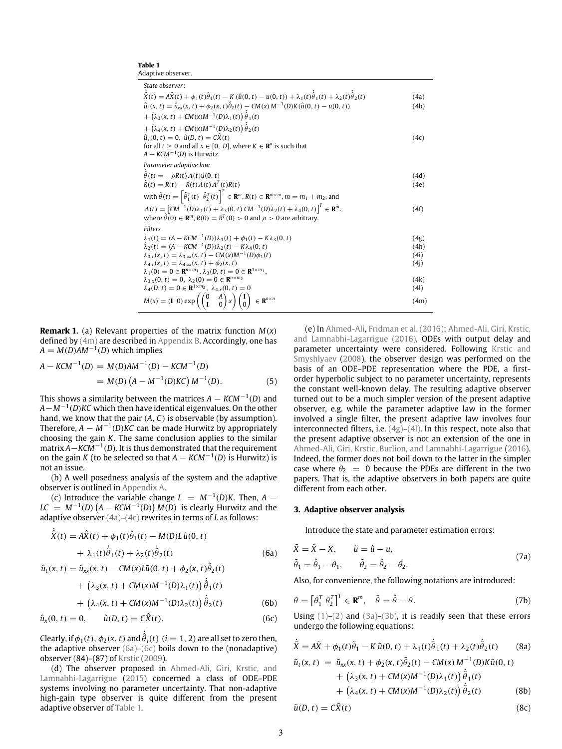| Adaptive observer.                                                                                                                                              |      |
|-----------------------------------------------------------------------------------------------------------------------------------------------------------------|------|
| State observer:                                                                                                                                                 |      |
| $\hat{X}(t) = A\hat{X}(t) + \phi_1(t)\hat{\theta}_1(t) - K(\hat{u}(0, t) - u(0, t)) + \lambda_1(t)\hat{\theta}_1(t) + \lambda_2(t)\hat{\theta}_2(t)$            | (4a) |
| $\hat{u}_t(x, t) = \hat{u}_{xx}(x, t) + \phi_2(x, t)\hat{\theta}_2(t) - CM(x) M^{-1}(D)K(\hat{u}(0, t) - u(0, t))$                                              | (4b) |
| + $(\lambda_3(x, t)$ + CM(x)M <sup>-1</sup> (D) $\lambda_1(t)$ ) $\hat{\theta}_1(t)$                                                                            |      |
| + $(\lambda_4(x, t)$ + $CM(x)M^{-1}(D)\lambda_2(t))\hat{\theta}_2(t)$                                                                                           |      |
| $\hat{u}_x(0, t) = 0$ , $\hat{u}(D, t) = C\hat{X}(t)$                                                                                                           | (4c) |
| for all $t \ge 0$ and all $x \in [0, D]$ , where $K \in \mathbb{R}^n$ is such that                                                                              |      |
| $A - KCM^{-1}(D)$ is Hurwitz.                                                                                                                                   |      |
| Parameter adaptive law                                                                                                                                          |      |
| $\ddot{\theta}(t) = -\rho R(t) \Lambda(t) \tilde{u}(0, t)$                                                                                                      | (4d) |
| $R(t) = R(t) - R(t) \Lambda(t) \Lambda^{T}(t) R(t)$                                                                                                             | (4e) |
| with $\hat{\theta}(t) = \left[\hat{\theta}_1^T(t) \ \hat{\theta}_2^T(t)\right]^T \in \mathbb{R}^m$ , $R(t) \in \mathbb{R}^{m \times m}$ , $m = m_1 + m_2$ , and |      |
| $\Lambda(t) = [CM^{-1}(D)\lambda_1(t) + \lambda_3(0, t) CM^{-1}(D)\lambda_2(t) + \lambda_4(0, t)]^T \in \mathbb{R}^m$ ,                                         | (4f) |
| where $\theta(0) \in \mathbb{R}^m$ , $R(0) = R^T(0) > 0$ and $\rho > 0$ are arbitrary.                                                                          |      |
| <b>Filters</b>                                                                                                                                                  |      |
| $\lambda_1(t) = (A - KCM^{-1}(D))\lambda_1(t) + \phi_1(t) - K\lambda_3(0, t)$                                                                                   | (4g) |
| $\lambda_2(t) = (A - KCM^{-1}(D))\lambda_2(t) - K\lambda_4(0, t)$                                                                                               | (4h) |
| $\lambda_{3,t}(x,t) = \lambda_{3,xx}(x,t) - CM(x)M^{-1}(D)\phi_1(t)$                                                                                            | (4i) |
| $\lambda_{4,t}(x, t) = \lambda_{4,xx}(x, t) + \phi_2(x, t)$                                                                                                     | (4j) |
| $\lambda_1(0) = 0 \in \mathbf{R}^{n \times m_1}, \lambda_3(D, t) = 0 \in \mathbf{R}^{1 \times m_1},$                                                            |      |
| $\lambda_{3,x}(0, t) = 0, \lambda_2(0) = 0 \in \mathbb{R}^{n \times m_2}$                                                                                       | (4k) |
| $\lambda_4(D, t) = 0 \in \mathbb{R}^{1 \times m_2}, \lambda_{4x}(0, t) = 0$                                                                                     | (4l) |
| $M(x) = (I\ 0) \exp\left(\begin{pmatrix} 0 & A \\ I & 0 \end{pmatrix}x\right) \begin{pmatrix} I \\ 0 \end{pmatrix} \in \mathbb{R}^{n \times n}$                 | (4m) |

**Remark 1.** (a) Relevant properties of the matrix function *M*(*x*) defined by (4m) are described in Appendix B. Accordingly, one has  $A = M(D)AM^{-1}(D)$  which implies

**Table 1**

$$
A - KCM^{-1}(D) = M(D)AM^{-1}(D) - KCM^{-1}(D)
$$
  
=  $M(D) (A - M^{-1}(D)KC) M^{-1}(D).$  (5)

This shows a similarity between the matrices *A* − *KCM*−<sup>1</sup> (*D*) and *A*−*M*−<sup>1</sup> (*D*)*KC* which then have identical eigenvalues. On the other hand, we know that the pair (*A*, *C*) is observable (by assumption). Therefore,  $A - M^{-1}(D)$ KC can be made Hurwitz by appropriately choosing the gain *K*. The same conclusion applies to the similar matrix *A*−*KCM*−<sup>1</sup> (*D*). It is thus demonstrated that the requirement on the gain *K* (to be selected so that  $A - KCM^{-1}(D)$  is Hurwitz) is not an issue.

(b) A well posedness analysis of the system and the adaptive observer is outlined in Appendix A.

(c) Introduce the variable change  $L = M^{-1}(D)K$ . Then,  $A LC = M^{-1}(D) (A - KCM^{-1}(D)) M(D)$  is clearly Hurwitz and the adaptive observer (4a)–(4c) rewrites in terms of *L* as follows:

$$
\dot{\hat{X}}(t) = A\hat{X}(t) + \phi_1(t)\hat{\theta}_1(t) - M(D)L\tilde{u}(0, t) \n+ \lambda_1(t)\dot{\hat{\theta}}_1(t) + \lambda_2(t)\dot{\hat{\theta}}_2(t)
$$
\n(6a)

$$
\hat{u}_t(x, t) = \hat{u}_{xx}(x, t) - CM(x)L\tilde{u}(0, t) + \phi_2(x, t)\hat{\theta}_2(t) \n+ (\lambda_3(x, t) + CM(x)M^{-1}(D)\lambda_1(t))\dot{\hat{\theta}}_1(t) \n+ (\lambda_3(x, t) + CM(x)M^{-1}(D)\lambda_1(t))\dot{\hat{\theta}}_1(t)
$$

+ 
$$
\left(\lambda_4(x,t) + CM(x)M^{-1}(D)\lambda_2(t)\right)\hat{\theta}_2(t)
$$
 (6b)

$$
\hat{u}_x(0, t) = 0, \qquad \hat{u}(D, t) = C\hat{X}(t). \tag{6c}
$$

Clearly, if  $\phi_1(t),\phi_2(x,t)$  and  $\dot{\hat{\theta}}_i(t) \; (i=1,2)$  are all set to zero then, the adaptive observer (6a)–(6c) boils down to the (nonadaptive) observer (84)–(87) of Krstic (2009).

(d) The observer proposed in Ahmed-Ali, Giri, Krstic, and Lamnabhi-Lagarrigue (2015) concerned a class of ODE–PDE systems involving no parameter uncertainty. That non-adaptive high-gain type observer is quite different from the present adaptive observer of Table 1.

(e) In Ahmed-Ali, Fridman et al. (2016); Ahmed-Ali, Giri, Krstic, and Lamnabhi-Lagarrigue (2016), ODEs with output delay and parameter uncertainty were considered. Following Krstic and Smyshlyaev (2008), the observer design was performed on the basis of an ODE–PDE representation where the PDE, a firstorder hyperbolic subject to no parameter uncertainty, represents the constant well-known delay. The resulting adaptive observer turned out to be a much simpler version of the present adaptive observer, e.g. while the parameter adaptive law in the former involved a single filter, the present adaptive law involves four interconnected filters, i.e. (4g)–(4l). In this respect, note also that the present adaptive observer is not an extension of the one in Ahmed-Ali, Giri, Krstic, Burlion, and Lamnabhi-Lagarrigue (2016). Indeed, the former does not boil down to the latter in the simpler case where  $\theta_2 = 0$  because the PDEs are different in the two papers. That is, the adaptive observers in both papers are quite different from each other.

#### **3. Adaptive observer analysis**

Introduce the state and parameter estimation errors:

$$
\tilde{X} = \hat{X} - X, \qquad \tilde{u} = \hat{u} - u,
$$
  
\n
$$
\tilde{\theta}_1 = \hat{\theta}_1 - \theta_1, \qquad \tilde{\theta}_2 = \hat{\theta}_2 - \theta_2.
$$
\n(7a)

Also, for convenience, the following notations are introduced:

$$
\theta = \left[\theta_1^T \ \theta_2^T\right]^T \in \mathbf{R}^m, \quad \tilde{\theta} = \hat{\theta} - \theta. \tag{7b}
$$

Using  $(1)$ – $(2)$  and  $(3a)$ – $(3b)$ , it is readily seen that these errors undergo the following equations:

$$
\dot{\tilde{X}} = A\tilde{X} + \phi_1(t)\tilde{\theta}_1 - K \tilde{u}(0, t) + \lambda_1(t)\dot{\tilde{\theta}}_1(t) + \lambda_2(t)\dot{\tilde{\theta}}_2(t)
$$
 (8a)  
\n
$$
\tilde{u}_t(x, t) = \tilde{u}_{xx}(x, t) + \phi_2(x, t)\tilde{\theta}_2(t) - CM(x) M^{-1}(D)K\tilde{u}(0, t) + (\lambda_3(x, t) + CM(x)M^{-1}(D)\lambda_1(t))\dot{\tilde{\theta}}_1(t) + (\lambda_4(x, t) + CM(x)M^{-1}(D)\lambda_2(t))\dot{\tilde{\theta}}_2(t)
$$
 (8b)  
\n
$$
\tilde{u}(D, t) = C\tilde{X}(t)
$$
 (8c)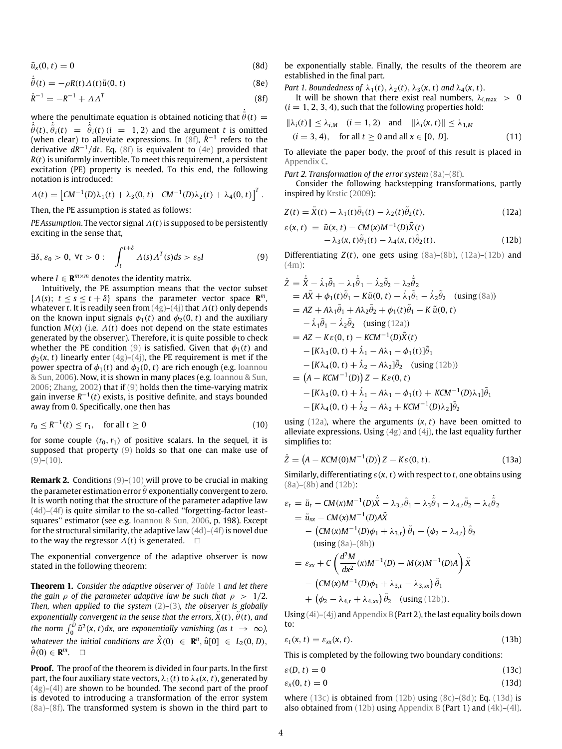$$
\tilde{u}_x(0,t) = 0 \tag{8d}
$$

 $\dot{\tilde{\theta}}(t) = -\rho R(t) \Lambda(t) \tilde{u}(0, t)$  (8e)

$$
\dot{R}^{-1} = -R^{-1} + AA^{T}
$$
 (8f)

where the penultimate equation is obtained noticing that  $\dot{\tilde{\theta}}(t) =$  $\dot{\hat{\theta}}(t), \dot{\hat{\theta}}_i(t) = \dot{\hat{\theta}}_i(t)$  (*i* = 1, 2) and the argument *t* is omitted (when clear) to alleviate expressions. In (8f),  $\dot{R}^{-1}$  refers to the derivative *dR*−<sup>1</sup> /*dt*. Eq. (8f) is equivalent to (4e) provided that *R*(*t*) is uniformly invertible. To meet this requirement, a persistent excitation (PE) property is needed. To this end, the following notation is introduced:

$$
\Lambda(t) = \left[ C M^{-1}(D) \lambda_1(t) + \lambda_3(0, t) \quad C M^{-1}(D) \lambda_2(t) + \lambda_4(0, t) \right]^T.
$$

Then, the PE assumption is stated as follows:

*PE Assumption*. The vector signal  $\Lambda(t)$  is supposed to be persistently exciting in the sense that,

$$
\exists \delta, \varepsilon_0 > 0, \ \forall t > 0: \quad \int_t^{t+\delta} \Lambda(s) \Lambda^T(s) ds > \varepsilon_0 I \tag{9}
$$

where  $I \in \mathbf{R}^{m \times m}$  denotes the identity matrix.

Intuitively, the PE assumption means that the vector subset  $\{\Lambda(s); t \leq s \leq t + \delta\}$  spans the parameter vector space **R**<sup>*m*</sup>, whatever *t*. It is readily seen from (4g)–(4j) that Λ(*t*) only depends on the known input signals  $\phi_1(t)$  and  $\phi_2(0, t)$  and the auxiliary function  $M(x)$  (i.e.  $\Lambda(t)$  does not depend on the state estimates generated by the observer). Therefore, it is quite possible to check whether the PE condition (9) is satisfied. Given that  $\phi_1(t)$  and  $\phi_2(x, t)$  linearly enter  $(4g)-(4j)$ , the PE requirement is met if the power spectra of  $\phi_1(t)$  and  $\phi_2(0, t)$  are rich enough (e.g. Ioannou & Sun, 2006). Now, it is shown in many places (e.g. Ioannou & Sun, 2006; Zhang, 2002) that if (9) holds then the time-varying matrix gain inverse R<sup>−1</sup>(t) exists, is positive definite, and stays bounded away from 0. Specifically, one then has

$$
r_0 \le R^{-1}(t) \le r_1, \quad \text{for all } t \ge 0 \tag{10}
$$

for some couple  $(r_0, r_1)$  of positive scalars. In the sequel, it is supposed that property (9) holds so that one can make use of  $(9)-(10)$ .

**Remark 2.** Conditions (9)–(10) will prove to be crucial in making the parameter estimation error  $\tilde{\theta}$  exponentially convergent to zero. It is worth noting that the structure of the parameter adaptive law (4d)–(4f) is quite similar to the so-called ''forgetting-factor leastsquares'' estimator (see e.g. Ioannou & Sun, 2006, p. 198). Except for the structural similarity, the adaptive law  $(4d)$ – $(4f)$  is novel due to the way the regressor  $\Lambda(t)$  is generated.  $\square$ 

The exponential convergence of the adaptive observer is now stated in the following theorem:

**Theorem 1.** *Consider the adaptive observer of Table* 1 *and let there the gain*  $\rho$  *of the parameter adaptive law be such that*  $\rho > 1/2$ *. Then, when applied to the system* (2)*–*(3)*, the observer is globally exponentially convergent in the sense that the errors,*  $\tilde{X}(t)$ *,*  $\tilde{\theta}(t)$ *<i>, and* the norm  $\int_0^D \tilde{u}^2(x, t) dx$ , are exponentially vanishing (as  $t \to \infty$ ), *whatever the initial conditions are*  $\hat{X}(0) \in \mathbb{R}^n$ ,  $\hat{u}[0] \in L_2(0, D)$ ,  $\hat{\theta}(0) \in \mathbf{R}^m$ .  $\square$ 

**Proof.** The proof of the theorem is divided in four parts. In the first part, the four auxiliary state vectors,  $\lambda_1(t)$  to  $\lambda_4(x, t)$ , generated by  $(4g)$ – $(4l)$  are shown to be bounded. The second part of the proof is devoted to introducing a transformation of the error system (8a)–(8f). The transformed system is shown in the third part to be exponentially stable. Finally, the results of the theorem are established in the final part.

*Part 1. Boundedness of*  $\lambda_1(t)$ ,  $\lambda_2(t)$ ,  $\lambda_3(x, t)$  *and*  $\lambda_4(x, t)$ .

It will be shown that there exist real numbers,  $\lambda_{i, \text{max}} > 0$  $(i = 1, 2, 3, 4)$ , such that the following properties hold:

$$
\|\lambda_i(t)\| \le \lambda_{i,M} \quad (i = 1, 2) \quad \text{and} \quad \|\lambda_i(x, t)\| \le \lambda_{1,M}
$$
\n
$$
(i = 3, 4), \quad \text{for all } t \ge 0 \text{ and all } x \in [0, D]. \tag{11}
$$

To alleviate the paper body, the proof of this result is placed in Appendix C.

*Part 2. Transformation of the error system* (8a)–(8f).

Consider the following backstepping transformations, partly inspired by Krstic (2009):

$$
Z(t) = \tilde{X}(t) - \lambda_1(t)\tilde{\theta}_1(t) - \lambda_2(t)\tilde{\theta}_2(t),
$$
\n(12a)

$$
\varepsilon(x, t) = \tilde{u}(x, t) - CM(x)M^{-1}(D)\tilde{X}(t)
$$
  
 
$$
- \lambda_3(x, t)\tilde{\theta}_1(t) - \lambda_4(x, t)\tilde{\theta}_2(t).
$$
 (12b)

Differentiating  $Z(t)$ , one gets using  $(8a)-(8b)$ ,  $(12a)-(12b)$  and (4m):

$$
\dot{Z} = \dot{\tilde{X}} - \dot{\lambda}_{1}\tilde{\theta}_{1} - \lambda_{1}\dot{\tilde{\theta}}_{1} - \dot{\lambda}_{2}\tilde{\theta}_{2} - \lambda_{2}\dot{\tilde{\theta}}_{2} \n= A\tilde{X} + \phi_{1}(t)\tilde{\theta}_{1} - K\tilde{u}(0, t) - \dot{\lambda}_{1}\tilde{\theta}_{1} - \dot{\lambda}_{2}\tilde{\theta}_{2} \text{ (using (8a))} \n= AZ + A\lambda_{1}\tilde{\theta}_{1} + A\lambda_{2}\tilde{\theta}_{2} + \phi_{1}(t)\tilde{\theta}_{1} - K\tilde{u}(0, t) \n- \dot{\lambda}_{1}\tilde{\theta}_{1} - \dot{\lambda}_{2}\tilde{\theta}_{2} \text{ (using (12a))} \n= AZ - K\epsilon(0, t) - KCM^{-1}(D)\tilde{X}(t) \n- [K\lambda_{3}(0, t) + \dot{\lambda}_{1} - A\lambda_{1} - \phi_{1}(t)]\tilde{\theta}_{1} \n- [K\lambda_{4}(0, t) + \dot{\lambda}_{2} - A\lambda_{2}]\tilde{\theta}_{2} \text{ (using (12b))} \n= (A - KCM^{-1}(D))Z - K\epsilon(0, t) \n- [K\lambda_{3}(0, t) + \dot{\lambda}_{1} - A\lambda_{1} - \phi_{1}(t) + KCM^{-1}(D)\lambda_{1}]\tilde{\theta}_{1} \n- [K\lambda_{4}(0, t) + \dot{\lambda}_{2} - A\lambda_{2} + KCM^{-1}(D)\lambda_{2}]\tilde{\theta}_{2}
$$

using  $(12a)$ , where the arguments  $(x, t)$  have been omitted to alleviate expressions. Using  $(4g)$  and  $(4j)$ , the last equality further simplifies to:

$$
\dot{Z} = \left(A - KCM(0)M^{-1}(D)\right)Z - K\varepsilon(0, t). \tag{13a}
$$

Similarly, differentiating  $\varepsilon$ ( $x$ ,  $t$ ) with respect to  $t$ , one obtains using (8a)–(8b) and (12b):

$$
\varepsilon_{t} = \tilde{u}_{t} - CM(x)M^{-1}(D)\dot{\tilde{X}} - \lambda_{3,t}\tilde{\theta}_{1} - \lambda_{3}\dot{\tilde{\theta}}_{1} - \lambda_{4,t}\tilde{\theta}_{2} - \lambda_{4}\dot{\tilde{\theta}}_{2}
$$
\n
$$
= \tilde{u}_{xx} - CM(x)M^{-1}(D)A\tilde{X}
$$
\n
$$
- \left(CM(x)M^{-1}(D)\phi_{1} + \lambda_{3,t}\right)\tilde{\theta}_{1} + \left(\phi_{2} - \lambda_{4,t}\right)\tilde{\theta}_{2}
$$
\n(using (8a)–(8b))

\n
$$
= \varepsilon_{xx} + C\left(\frac{d^{2}M}{dx^{2}}(x)M^{-1}(D) - M(x)M^{-1}(D)A\right)\tilde{X}
$$
\n
$$
- \left(CM(x)M^{-1}(D)\phi_{1} + \lambda_{3,t} - \lambda_{3,xx}\right)\tilde{\theta}_{1}
$$
\n
$$
+ \left(\phi_{2} - \lambda_{4,t} + \lambda_{4,xx}\right)\tilde{\theta}_{2} \quad \text{(using (12b))}.
$$

Using  $(4i)$ – $(4j)$  and Appendix B (Part 2), the last equality boils down to:

$$
\varepsilon_t(x,t) = \varepsilon_{xx}(x,t). \tag{13b}
$$

This is completed by the following two boundary conditions:

$$
\varepsilon(D, t) = 0 \tag{13c}
$$

$$
\varepsilon_{x}(0,t) = 0 \tag{13d}
$$

where  $(13c)$  is obtained from  $(12b)$  using  $(8c)$ – $(8d)$ ; Eq.  $(13d)$  is also obtained from  $(12b)$  using Appendix B (Part 1) and  $(4k)$ – $(4l)$ .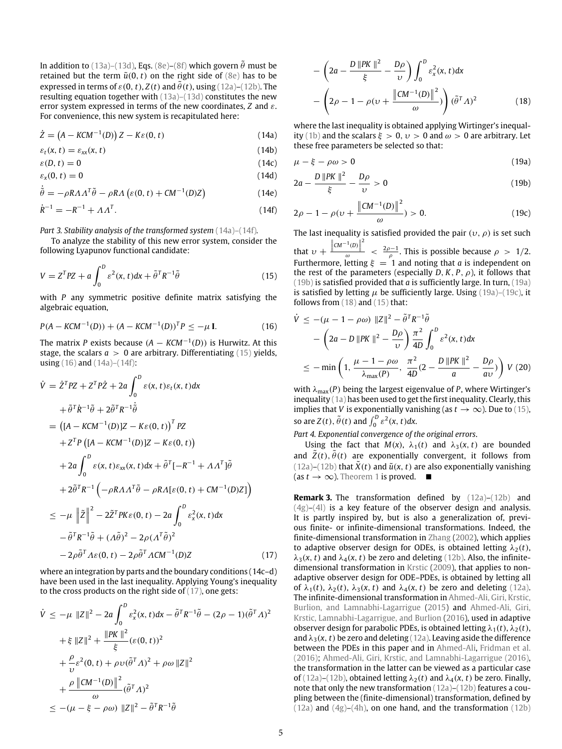In addition to (13a)–(13d), Eqs. (8e)–(8f) which govern  $\tilde{\theta}$  must be retained but the term  $\tilde{u}(0, t)$  on the right side of (8e) has to be expressed in terms of  $\varepsilon(0, t)$ ,  $Z(t)$  and  $\tilde{\theta}(t)$ , using (12a)–(12b). The resulting equation together with (13a)–(13d) constitutes the new error system expressed in terms of the new coordinates, *Z* and ε. For convenience, this new system is recapitulated here:

$$
\dot{Z} = (A - KCM^{-1}(D))Z - K\varepsilon(0, t)
$$
\n(14a)

$$
\varepsilon_t(x,t) = \varepsilon_{xx}(x,t) \tag{14b}
$$

$$
\varepsilon(D, t) = 0 \tag{14c}
$$

$$
\varepsilon_{x}(0,t) = 0 \tag{14d}
$$

$$
\dot{\tilde{\theta}} = -\rho R A A^T \tilde{\theta} - \rho R A \left( \varepsilon(0, t) + C M^{-1}(D) Z \right)
$$
(14e)

$$
\dot{R}^{-1} = -R^{-1} + A A^{T}.
$$
\n(14f)

*Part 3. Stability analysis of the transformed system* (14a)–(14f)*.*

To analyze the stability of this new error system, consider the following Lyapunov functional candidate:

$$
V = ZTPZ + a \int_0^D \varepsilon^2(x, t) dx + \tilde{\theta}^T R^{-1} \tilde{\theta}
$$
 (15)

with *P* any symmetric positive definite matrix satisfying the algebraic equation,

$$
P(A - KCM^{-1}(D)) + (A - KCM^{-1}(D))^{T}P \leq -\mu \mathbf{I}.
$$
 (16)

The matrix *P* exists because (*A* − *KCM*−<sup>1</sup> (*D*)) is Hurwitz. At this stage, the scalars  $a > 0$  are arbitrary. Differentiating (15) yields, using (16) and (14a)–(14f):

$$
\dot{V} = \dot{Z}^T P Z + Z^T P \dot{Z} + 2a \int_0^D \varepsilon(x, t) \varepsilon_t(x, t) dx
$$
  
\n
$$
+ \tilde{\theta}^T \dot{R}^{-1} \tilde{\theta} + 2 \tilde{\theta}^T R^{-1} \dot{\tilde{\theta}}
$$
  
\n
$$
= \left( [A - K C M^{-1}(D)]Z - K \varepsilon(0, t) \right)^T P Z
$$
  
\n
$$
+ Z^T P \left( [A - K C M^{-1}(D)]Z - K \varepsilon(0, t) \right)
$$
  
\n
$$
+ 2a \int_0^D \varepsilon(x, t) \varepsilon_{xx}(x, t) dx + \tilde{\theta}^T [-R^{-1} + A A^T] \tilde{\theta}
$$
  
\n
$$
+ 2 \tilde{\theta}^T R^{-1} \left( -\rho R A A^T \tilde{\theta} - \rho R A [\varepsilon(0, t) + C M^{-1}(D) Z] \right)
$$
  
\n
$$
\leq -\mu \left\| \tilde{Z} \right\|^2 - 2 \tilde{Z}^T P K \varepsilon(0, t) - 2a \int_0^D \varepsilon_x^2(x, t) dx
$$
  
\n
$$
- \tilde{\theta}^T R^{-1} \tilde{\theta} + (A \tilde{\theta})^2 - 2\rho (A^T \tilde{\theta})^2
$$
  
\n
$$
- 2\rho \tilde{\theta}^T A \varepsilon(0, t) - 2\rho \tilde{\theta}^T A C M^{-1}(D) Z
$$
  
\n(17)

where an integration by parts and the boundary conditions (14c–d) have been used in the last inequality. Applying Young's inequality to the cross products on the right side of (17), one gets:

$$
\dot{V} \leq -\mu \|Z\|^2 - 2a \int_0^D \varepsilon_x^2(x, t) dx - \tilde{\theta}^T R^{-1} \tilde{\theta} - (2\rho - 1)(\tilde{\theta}^T A)^2 \n+ \xi \|Z\|^2 + \frac{\|PK\|^2}{\xi} (\varepsilon(0, t))^2 \n+ \frac{\rho}{\nu} \varepsilon^2(0, t) + \rho v (\tilde{\theta}^T A)^2 + \rho \omega \|Z\|^2 \n+ \frac{\rho \|CM^{-1}(D)\|^2}{\omega} (\tilde{\theta}^T A)^2 \n\leq -(\mu - \xi - \rho \omega) \|Z\|^2 - \tilde{\theta}^T R^{-1} \tilde{\theta}
$$

$$
-\left(2a - \frac{D\left\|PK\right\|^2}{\xi} - \frac{D\rho}{\upsilon}\right) \int_0^D \varepsilon_x^2(x, t) dx
$$

$$
-\left(2\rho - 1 - \rho(\upsilon + \frac{\left\|CM^{-1}(D)\right\|^2}{\omega})\right) (\tilde{\theta}^T A)^2 \tag{18}
$$

where the last inequality is obtained applying Wirtinger's inequality (1b) and the scalars  $\xi > 0$ ,  $\nu > 0$  and  $\omega > 0$  are arbitrary. Let these free parameters be selected so that:

$$
\mu - \xi - \rho \omega > 0 \tag{19a}
$$

$$
2a - \frac{D \|PK\|^2}{\xi} - \frac{D\rho}{\upsilon} > 0
$$
 (19b)

$$
2\rho - 1 - \rho(v + \frac{\left\|CM^{-1}(D)\right\|^2}{\omega}) > 0.
$$
 (19c)

The last inequality is satisfied provided the pair  $(v, \rho)$  is set such 2

that  $v + \frac{\Vert cm^{-1}(D) \Vert}{\omega}$  $\frac{\omega}{\omega}$  <  $\frac{2\rho-1}{\rho}$ . This is possible because  $\rho > 1/2$ . Furthermore, letting  $\xi = 1$  and noting that *a* is independent on the rest of the parameters (especially  $D, K, P, \rho$ ), it follows that (19b) is satisfied provided that *a* is sufficiently large. In turn, (19a) is satisfied by letting  $\mu$  be sufficiently large. Using (19a)–(19c), it follows from (18) and (15) that:

$$
\dot{V} \le -(\mu - 1 - \rho \omega) \|Z\|^2 - \tilde{\theta}^T R^{-1} \tilde{\theta}
$$
  
 
$$
- \left(2a - D \|PK\|^2 - \frac{D\rho}{\nu}\right) \frac{\pi^2}{4D} \int_0^D \varepsilon^2(x, t) dx
$$
  
 
$$
\le - \min\left(1, \frac{\mu - 1 - \rho \omega}{\lambda_{\text{max}}(P)}, \frac{\pi^2}{4D}(2 - \frac{D \|PK\|^2}{a} - \frac{D\rho}{a\nu})\right) V (20)
$$

with λmax(*P*) being the largest eigenvalue of *P*, where Wirtinger's inequality (1a) has been used to get the first inequality. Clearly, this implies that *V* is exponentially vanishing (as  $t \to \infty$ ). Due to (15), so are  $Z(t)$ ,  $\tilde{\theta}(t)$  and  $\int_0^D \varepsilon^2(x, t) dx$ .

*Part 4. Exponential convergence of the original errors*.

Using the fact that  $M(x)$ ,  $\lambda_1(t)$  and  $\lambda_3(x, t)$  are bounded and  $\overline{Z}(t)$ ,  $\overline{\theta}(t)$  are exponentially convergent, it follows from (12a)–(12b) that  $\tilde{X}(t)$  and  $\tilde{u}(x, t)$  are also exponentially vanishing  $(\text{as } t \to \infty)$ . Theorem 1 is proved.  $\blacksquare$ 

**Remark 3.** The transformation defined by  $(12a)-(12b)$  and  $(4g)$ – $(4l)$  is a key feature of the observer design and analysis. It is partly inspired by, but is also a generalization of, previous finite- or infinite-dimensional transformations. Indeed, the finite-dimensional transformation in Zhang (2002), which applies to adaptive observer design for ODEs, is obtained letting  $\lambda_2(t)$ ,  $\lambda_3(x, t)$  and  $\lambda_4(x, t)$  be zero and deleting (12b). Also, the infinitedimensional transformation in Krstic (2009), that applies to nonadaptive observer design for ODE–PDEs, is obtained by letting all of  $\lambda_1(t)$ ,  $\lambda_2(t)$ ,  $\lambda_3(x, t)$  and  $\lambda_4(x, t)$  be zero and deleting (12a). The infinite-dimensional transformation in Ahmed-Ali, Giri, Krstic, Burlion, and Lamnabhi-Lagarrigue (2015) and Ahmed-Ali, Giri, Krstic, Lamnabhi-Lagarrigue, and Burlion (2016), used in adaptive observer design for parabolic PDEs, is obtained letting  $\lambda_1(t)$ ,  $\lambda_2(t)$ , and  $\lambda_3(x, t)$  be zero and deleting (12a). Leaving aside the difference between the PDEs in this paper and in Ahmed-Ali, Fridman et al. (2016); Ahmed-Ali, Giri, Krstic, and Lamnabhi-Lagarrigue (2016), the transformation in the latter can be viewed as a particular case of (12a)–(12b), obtained letting  $\lambda_2(t)$  and  $\lambda_4(x, t)$  be zero. Finally, note that only the new transformation (12a)–(12b) features a coupling between the (finite-dimensional) transformation, defined by  $(12a)$  and  $(4g)$ – $(4h)$ , on one hand, and the transformation  $(12b)$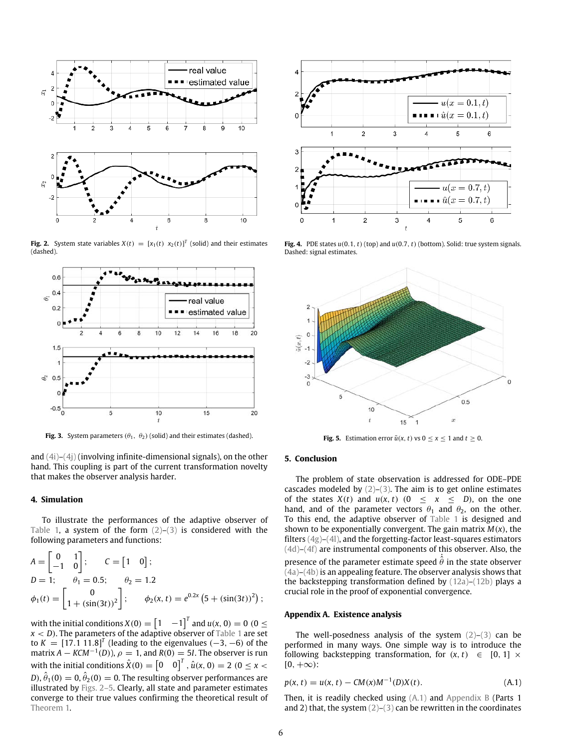

**Fig. 2.** System state variables  $X(t) = [x_1(t) \ x_2(t)]^T$  (solid) and their estimates (dashed).



**Fig. 3.** System parameters  $(\theta_1, \theta_2)$  (solid) and their estimates (dashed).

and (4i)–(4j) (involving infinite-dimensional signals), on the other hand. This coupling is part of the current transformation novelty that makes the observer analysis harder.

#### **4. Simulation**

To illustrate the performances of the adaptive observer of Table 1, a system of the form  $(2)-(3)$  is considered with the following parameters and functions:

$$
A = \begin{bmatrix} 0 & 1 \\ -1 & 0 \end{bmatrix}; \qquad C = \begin{bmatrix} 1 & 0 \end{bmatrix};
$$
  
\n
$$
D = 1; \qquad \theta_1 = 0.5; \qquad \theta_2 = 1.2
$$
  
\n
$$
\phi_1(t) = \begin{bmatrix} 0 \\ 1 + (\sin(3t))^2 \end{bmatrix}; \qquad \phi_2(x, t) = e^{0.2x} (5 + (\sin(3t))^2);
$$

with the initial conditions  $X(0) = \begin{bmatrix} 1 & -1 \end{bmatrix}^T$  and  $u(x, 0) = 0$  (0  $\leq$  $x < D$ ). The parameters of the adaptive observer of Table 1 are set to  $K = [17.1 \ 11.8]^T$  (leading to the eigenvalues  $(-3, -6)$  of the matrix  $\hat{A} - KCM^{-1}(D)$ ,  $\rho = 1$ , and  $R(0) = 5I$ . The observer is run with the initial conditions  $\hat{X}(0) = \begin{bmatrix} 0 & 0 \end{bmatrix}^T$ ,  $\hat{u}(x, 0) = 2$  ( $0 \le x <$ D),  $\hat{\theta}_1(0)=0$ ,  $\hat{\theta}_2(0)=0$ . The resulting observer performances are illustrated by Figs. 2–5. Clearly, all state and parameter estimates converge to their true values confirming the theoretical result of Theorem 1.



**Fig. 4.** PDE states  $u(0.1, t)$  (top) and  $u(0.7, t)$  (bottom). Solid: true system signals. Dashed: signal estimates.



**Fig. 5.** Estimation error  $\tilde{u}(x, t)$  vs  $0 \le x \le 1$  and  $t \ge 0$ .

#### **5. Conclusion**

The problem of state observation is addressed for ODE–PDE cascades modeled by  $(2)-(3)$ . The aim is to get online estimates of the states  $X(t)$  and  $u(x, t)$   $(0 \le x \le D)$ , on the one hand, and of the parameter vectors  $\theta_1$  and  $\theta_2$ , on the other. To this end, the adaptive observer of Table 1 is designed and shown to be exponentially convergent. The gain matrix *M*(*x*), the filters (4g)–(4l), and the forgetting-factor least-squares estimators (4d)–(4f) are instrumental components of this observer. Also, the presence of the parameter estimate speed  $\dot{\hat{\theta}}$  in the state observer (4a)–(4b) is an appealing feature. The observer analysis shows that the backstepping transformation defined by (12a)–(12b) plays a crucial role in the proof of exponential convergence.

#### **Appendix A. Existence analysis**

The well-posedness analysis of the system  $(2)-(3)$  can be performed in many ways. One simple way is to introduce the following backstepping transformation, for  $(x, t) \in [0, 1] \times$  $[0, +\infty)$ :

$$
p(x, t) = u(x, t) - CM(x)M^{-1}(D)X(t).
$$
 (A.1)

Then, it is readily checked using (A.1) and Appendix B (Parts 1 and 2) that, the system  $(2)$ – $(3)$  can be rewritten in the coordinates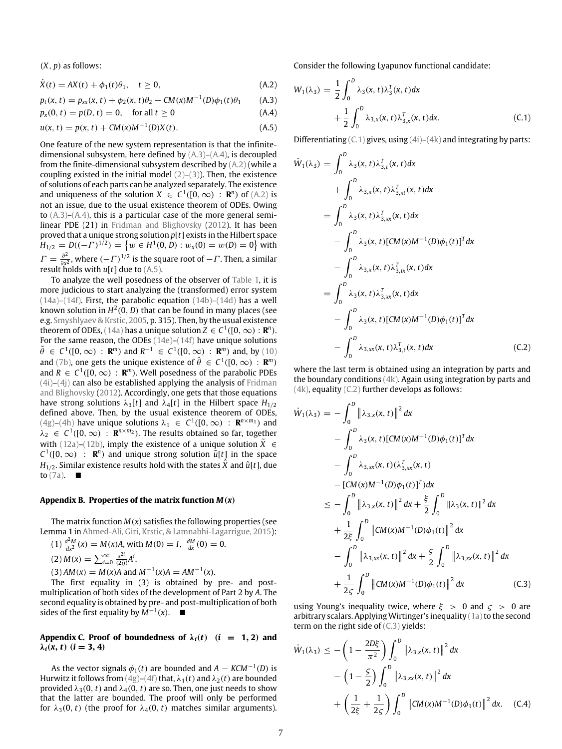(*X*, *p*) as follows:

$$
\dot{X}(t) = AX(t) + \phi_1(t)\theta_1, \quad t \ge 0,
$$
\n(A.2)

$$
p_t(x, t) = p_{xx}(x, t) + \phi_2(x, t)\theta_2 - CM(x)M^{-1}(D)\phi_1(t)\theta_1
$$
 (A.3)

$$
p_x(0, t) = p(D, t) = 0, \text{ for all } t \ge 0
$$
 (A.4)

$$
u(x, t) = p(x, t) + CM(x)M^{-1}(D)X(t).
$$
 (A.5)

One feature of the new system representation is that the infinitedimensional subsystem, here defined by (A.3)–(A.4), is decoupled from the finite-dimensional subsystem described by (A.2) (while a coupling existed in the initial model  $(2)$ – $(3)$ ). Then, the existence of solutions of each parts can be analyzed separately. The existence and uniqueness of the solution  $X \in C^1([0,\infty) : \mathbb{R}^n)$  of  $(A,2)$  is not an issue, due to the usual existence theorem of ODEs. Owing to  $(A,3)$ – $(A,4)$ , this is a particular case of the more general semilinear PDE (21) in Fridman and Blighovsky (2012). It has been proved that a unique strong solution *p*[*t*] exists in the Hilbert space  $H_{1/2} = D((-F)^{1/2}) = \{w \in H^1(0, D) : w_x(0) = w(D) = 0\}$  with  $\Gamma = \frac{\partial^2}{\partial x^2}$  $\frac{\partial^2}{\partial x^2}$ , where  $(-\Gamma)^{1/2}$  is the square root of  $-\Gamma$ . Then, a similar result holds with  $u[t]$  due to (A.5).

To analyze the well posedness of the observer of Table 1, it is more judicious to start analyzing the (transformed) error system  $(14a)$ – $(14f)$ . First, the parabolic equation  $(14b)$ – $(14d)$  has a well known solution in  $H^2(0,D)$  that can be found in many places (see e.g. Smyshlyaev & Krstic, 2005, p. 315). Then, by the usual existence theorem of ODEs, (14a) has a unique solution  $Z \in C^1([0,\infty): \mathbf{R}^n)$ . For the same reason, the ODEs (14e)–(14f) have unique solutions  $\tilde{\theta} \in C^1([0,\infty) : \mathbb{R}^m)$  and  $R^{-1} \in C^1([0,\infty) : \mathbb{R}^m)$  and, by (10) and (7b), one gets the unique existence of  $\hat{\theta} \in C^1([0,\infty) : \mathbf{R}^m)$ and  $R \in C^1([0,\infty) : \mathbf{R}^m)$ . Well posedness of the parabolic PDEs (4i)–(4j) can also be established applying the analysis of Fridman and Blighovsky (2012). Accordingly, one gets that those equations have strong solutions  $\lambda_3[t]$  and  $\lambda_4[t]$  in the Hilbert space  $H_{1/2}$ defined above. Then, by the usual existence theorem of ODEs,  $(4g)$ – $(4h)$  have unique solutions  $\lambda_1 \in C^1([0,\infty) : \mathbf{R}^{n \times m_1})$  and  $\lambda_2 \in C^1([0,\infty) : \mathbf{R}^{n \times m_2}$ ). The results obtained so far, together with (12a)–(12b), imply the existence of a unique solution  $X$  ∈  $C^1([0,\infty)$  : **R**<sup>n</sup>) and unique strong solution  $\tilde{u}[t]$  in the space *H*<sub>1/2</sub>. Similar existence results hold with the states  $\hat{X}$  and  $\hat{u}[t]$ , due to  $(7a)$ .

#### Appendix B. Properties of the matrix function  $M(x)$

The matrix function  $M(x)$  satisfies the following properties (see Lemma 1 in Ahmed-Ali, Giri, Krstic, & Lamnabhi-Lagarrigue, 2015):

(1) 
$$
\frac{d^2M}{dx^2}(x) = M(x)A
$$
, with  $M(0) = I$ ,  $\frac{dM}{dx}(0) = 0$ .  
\n(2)  $M(x) = \sum_{i=0}^{\infty} \frac{x^{2i}}{(2i)!} A^i$ .  
\n(3)  $AM(x) = M(x)A$  and  $M^{-1}(x)A = AM^{-1}(x)$ .

The first equality in (3) is obtained by pre- and postmultiplication of both sides of the development of Part 2 by *A*. The second equality is obtained by pre- and post-multiplication of both sides of the first equality by  $M^{-1}(x)$ . ■

#### Appendix C. Proof of boundedness of  $\lambda_i(t)$  (*i* = 1, 2) and  $λ<sub>i</sub>(x, t)$  ( $i = 3, 4$ )

As the vector signals  $\phi_1(t)$  are bounded and  $A - KCM^{-1}(D)$  is Hurwitz it follows from  $(4g)$ – $(4f)$  that,  $\lambda_1(t)$  and  $\lambda_2(t)$  are bounded provided  $\lambda_3(0, t)$  and  $\lambda_4(0, t)$  are so. Then, one just needs to show that the latter are bounded. The proof will only be performed for  $\lambda_3(0, t)$  (the proof for  $\lambda_4(0, t)$  matches similar arguments). Consider the following Lyapunov functional candidate:

$$
W_1(\lambda_3) = \frac{1}{2} \int_0^D \lambda_3(x, t) \lambda_3^T(x, t) dx
$$
  
+ 
$$
\frac{1}{2} \int_0^D \lambda_{3,x}(x, t) \lambda_{3,x}^T(x, t) dx.
$$
 (C.1)

Differentiating  $(C.1)$  gives, using  $(4i)$ – $(4k)$  and integrating by parts:

$$
\dot{W}_{1}(\lambda_{3}) = \int_{0}^{D} \lambda_{3}(x, t) \lambda_{3, t}^{T}(x, t) dx \n+ \int_{0}^{D} \lambda_{3, x}(x, t) \lambda_{3, xt}^{T}(x, t) dx \n= \int_{0}^{D} \lambda_{3}(x, t) \lambda_{3, xx}^{T}(x, t) dx \n- \int_{0}^{D} \lambda_{3}(x, t) [CM(x)M^{-1}(D)\phi_{1}(t)]^{T} dx \n- \int_{0}^{D} \lambda_{3, x}(x, t) \lambda_{3, tx}^{T}(x, t) dx \n= \int_{0}^{D} \lambda_{3}(x, t) \lambda_{3, xx}^{T}(x, t) dx \n- \int_{0}^{D} \lambda_{3}(x, t) [CM(x)M^{-1}(D)\phi_{1}(t)]^{T} dx \n- \int_{0}^{D} \lambda_{3, xx}(x, t) \lambda_{3, t}^{T}(x, t) dx
$$
\n(C.2)

where the last term is obtained using an integration by parts and the boundary conditions (4k). Again using integration by parts and (4k), equality (C.2) further develops as follows:

$$
\dot{W}_{1}(\lambda_{3}) = -\int_{0}^{D} \left\| \lambda_{3,x}(x,t) \right\|^{2} dx \n- \int_{0}^{D} \lambda_{3}(x,t) [CM(x)M^{-1}(D)\phi_{1}(t)]^{T} dx \n- \int_{0}^{D} \lambda_{3,xx}(x,t) (\lambda_{3,xx}^{T}(x,t) \n- [CM(x)M^{-1}(D)\phi_{1}(t)]^{T}) dx \n\leq - \int_{0}^{D} \left\| \lambda_{3,x}(x,t) \right\|^{2} dx + \frac{\xi}{2} \int_{0}^{D} \left\| \lambda_{3}(x,t) \right\|^{2} dx \n+ \frac{1}{2\xi} \int_{0}^{D} \left\| CM(x)M^{-1}(D)\phi_{1}(t) \right\|^{2} dx \n- \int_{0}^{D} \left\| \lambda_{3,xx}(x,t) \right\|^{2} dx + \frac{\xi}{2} \int_{0}^{D} \left\| \lambda_{3,xx}(x,t) \right\|^{2} dx \n+ \frac{1}{2\xi} \int_{0}^{D} \left\| CM(x)M^{-1}(D)\phi_{1}(t) \right\|^{2} dx
$$
\n(C.3)

using Young's inequality twice, where  $\xi > 0$  and  $\zeta > 0$  are arbitrary scalars. Applying Wirtinger's inequality  $(1a)$  to the second term on the right side of (C.3) yields:

$$
\dot{W}_1(\lambda_3) \le -\left(1 - \frac{2D\xi}{\pi^2}\right) \int_0^D \|\lambda_{3,x}(x,t)\|^2 dx \n- \left(1 - \frac{5}{2}\right) \int_0^D \|\lambda_{3,xx}(x,t)\|^2 dx \n+ \left(\frac{1}{2\xi} + \frac{1}{2\varsigma}\right) \int_0^D \|(CM(x)M^{-1}(D)\phi_1(t)\|^2 dx. \quad (C.4)
$$